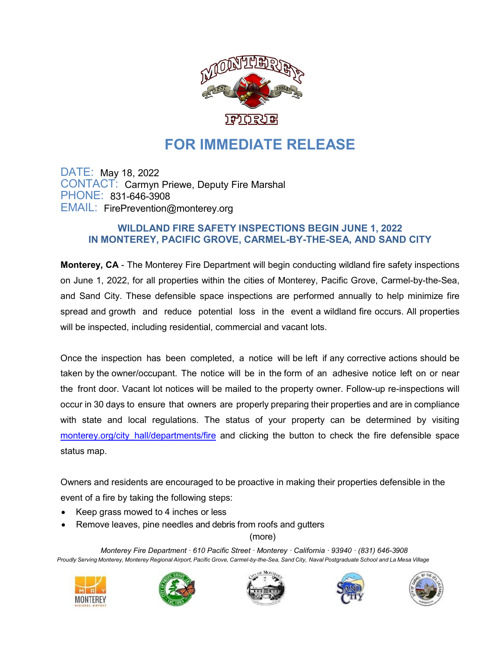

## **FOR IMMEDIATE RELEASE**

DATE: May 18, 2022 CONTACT: Carmyn Priewe, Deputy Fire Marshal PHONE: 831-646-3908 EMAIL: [FirePrevention@monterey.org](mailto:FirePrevention@monterey.org)

## **WILDLAND FIRE SAFETY INSPECTIONS BEGIN JUNE 1, 2022 IN MONTEREY, PACIFIC GROVE, CARMEL-BY-THE-SEA, AND SAND CITY**

**Monterey, CA** - The Monterey Fire Department will begin conducting wildland fire safety inspections on June 1, 2022, for all properties within the cities of Monterey, Pacific Grove, Carmel-by-the-Sea, and Sand City. These defensible space inspections are performed annually to help minimize fire spread and growth and reduce potential loss in the event a wildland fire occurs. All properties will be inspected, including residential, commercial and vacant lots.

Once the inspection has been completed, a notice will be left if any corrective actions should be taken by the owner/occupant. The notice will be in the form of an adhesive notice left on or near the front door. Vacant lot notices will be mailed to the property owner. Follow-up re-inspections will occur in 30 days to ensure that owners are properly preparing their properties and are in compliance with state and local regulations. The status of your property can be determined by visiting monterey.org/city hall/departments/fire and clicking the button to check the fire defensible space status map.

Owners and residents are encouraged to be proactive in making their properties defensible in the event of a fire by taking the following steps:

- Keep grass mowed to 4 inches or less
- Remove leaves, pine needles and debris from roofs and gutters

(more)

*Monterey Fire Department · 610 Pacific Street · Monterey · California · 93940 · (831) 646-3908* Proudly Serving Monterey, Monterey Regional Airport, Pacific Grove, Carmel-by-the-Sea, Sand City, Naval Postgraduate School and La Mesa Village